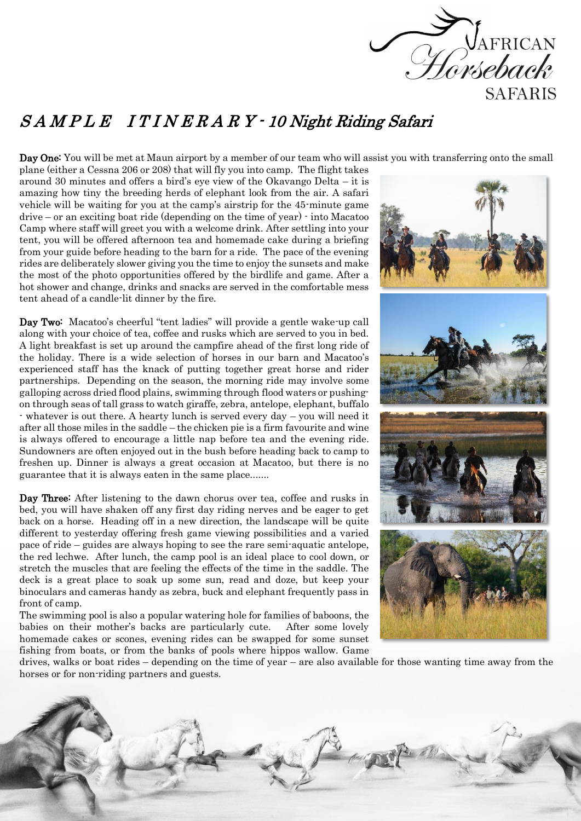

## S A M P L E I T I N E R A R Y - 10 Night Riding Safari

Day One: You will be met at Maun airport by a member of our team who will assist you with transferring onto the small

plane (either a Cessna 206 or 208) that will fly you into camp. The flight takes around 30 minutes and offers a bird's eye view of the Okavango Delta – it is amazing how tiny the breeding herds of elephant look from the air. A safari vehicle will be waiting for you at the camp's airstrip for the 45-minute game drive – or an exciting boat ride (depending on the time of year) - into Macatoo Camp where staff will greet you with a welcome drink. After settling into your tent, you will be offered afternoon tea and homemade cake during a briefing from your guide before heading to the barn for a ride. The pace of the evening rides are deliberately slower giving you the time to enjoy the sunsets and make the most of the photo opportunities offered by the birdlife and game. After a hot shower and change, drinks and snacks are served in the comfortable mess tent ahead of a candle-lit dinner by the fire.

Day Two: Macatoo's cheerful "tent ladies" will provide a gentle wake-up call along with your choice of tea, coffee and rusks which are served to you in bed. A light breakfast is set up around the campfire ahead of the first long ride of the holiday. There is a wide selection of horses in our barn and Macatoo's experienced staff has the knack of putting together great horse and rider partnerships. Depending on the season, the morning ride may involve some galloping across dried flood plains, swimming through flood waters or pushingon through seas of tall grass to watch giraffe, zebra, antelope, elephant, buffalo - whatever is out there. A hearty lunch is served every day – you will need it after all those miles in the saddle – the chicken pie is a firm favourite and wine is always offered to encourage a little nap before tea and the evening ride. Sundowners are often enjoyed out in the bush before heading back to camp to freshen up. Dinner is always a great occasion at Macatoo, but there is no guarantee that it is always eaten in the same place.......

Day Three: After listening to the dawn chorus over tea, coffee and rusks in bed, you will have shaken off any first day riding nerves and be eager to get back on a horse. Heading off in a new direction, the landscape will be quite different to yesterday offering fresh game viewing possibilities and a varied pace of ride – guides are always hoping to see the rare semi-aquatic antelope, the red lechwe. After lunch, the camp pool is an ideal place to cool down, or stretch the muscles that are feeling the effects of the time in the saddle. The deck is a great place to soak up some sun, read and doze, but keep your binoculars and cameras handy as zebra, buck and elephant frequently pass in front of camp.

The swimming pool is also a popular watering hole for families of baboons, the babies on their mother's backs are particularly cute. After some lovely homemade cakes or scones, evening rides can be swapped for some sunset fishing from boats, or from the banks of pools where hippos wallow. Game



drives, walks or boat rides – depending on the time of year – are also available for those wanting time away from the horses or for non-riding partners and guests.

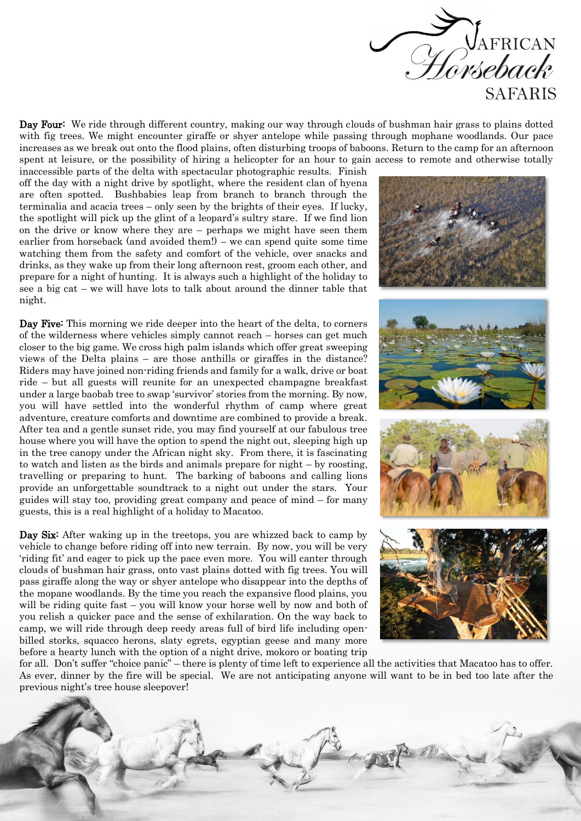

Day Four: We ride through different country, making our way through clouds of bushman hair grass to plains dotted with fig trees. We might encounter giraffe or shyer antelope while passing through mophane woodlands. Our pace increases as we break out onto the flood plains, often disturbing troops of baboons. Return to the camp for an afternoon spent at leisure, or the possibility of hiring a helicopter for an hour to gain access to remote and otherwise totally

inaccessible parts of the delta with spectacular photographic results. Finish off the day with a night drive by spotlight, where the resident clan of hyena are often spotted. Bushbabies leap from branch to branch through the terminalia and acacia trees – only seen by the brights of their eyes. If lucky, the spotlight will pick up the glint of a leopard's sultry stare. If we find lion on the drive or know where they are – perhaps we might have seen them earlier from horseback (and avoided them!) – we can spend quite some time watching them from the safety and comfort of the vehicle, over snacks and drinks, as they wake up from their long afternoon rest, groom each other, and prepare for a night of hunting. It is always such a highlight of the holiday to see a big cat – we will have lots to talk about around the dinner table that night.

Day Five: This morning we ride deeper into the heart of the delta, to corners of the wilderness where vehicles simply cannot reach – horses can get much closer to the big game. We cross high palm islands which offer great sweeping views of the Delta plains – are those anthills or giraffes in the distance? Riders may have joined non-riding friends and family for a walk, drive or boat ride – but all guests will reunite for an unexpected champagne breakfast under a large baobab tree to swap 'survivor' stories from the morning. By now, you will have settled into the wonderful rhythm of camp where great adventure, creature comforts and downtime are combined to provide a break. After tea and a gentle sunset ride, you may find yourself at our fabulous tree house where you will have the option to spend the night out, sleeping high up in the tree canopy under the African night sky. From there, it is fascinating to watch and listen as the birds and animals prepare for night – by roosting, travelling or preparing to hunt. The barking of baboons and calling lions provide an unforgettable soundtrack to a night out under the stars. Your guides will stay too, providing great company and peace of mind – for many guests, this is a real highlight of a holiday to Macatoo.

Day Six: After waking up in the treetops, you are whizzed back to camp by vehicle to change before riding off into new terrain. By now, you will be very 'riding fit' and eager to pick up the pace even more. You will canter through clouds of bushman hair grass, onto vast plains dotted with fig trees. You will pass giraffe along the way or shyer antelope who disappear into the depths of the mopane woodlands. By the time you reach the expansive flood plains, you will be riding quite fast – you will know your horse well by now and both of you relish a quicker pace and the sense of exhilaration. On the way back to camp, we will ride through deep reedy areas full of bird life including openbilled storks, squacco herons, slaty egrets, egyptian geese and many more before a hearty lunch with the option of a night drive, mokoro or boating trip



for all. Don't suffer "choice panic" – there is plenty of time left to experience all the activities that Macatoo has to offer. As ever, dinner by the fire will be special. We are not anticipating anyone will want to be in bed too late after the previous night's tree house sleepover!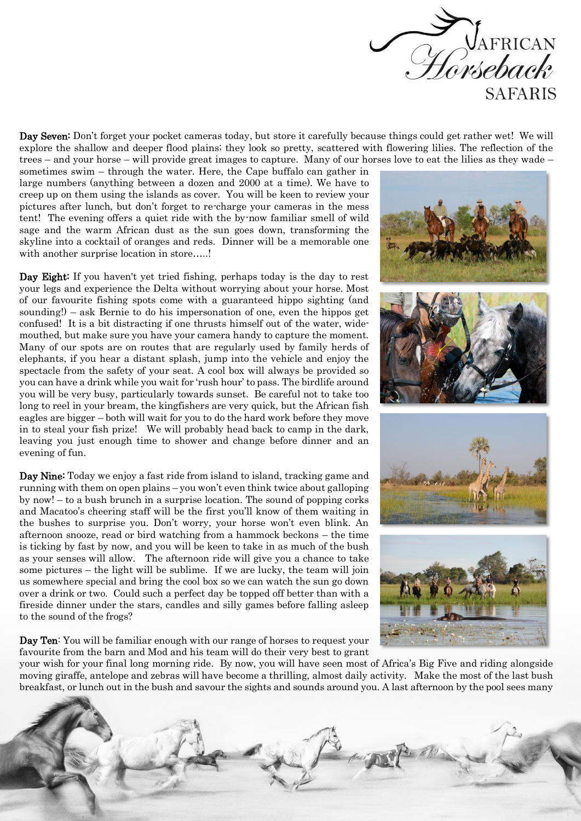

Day Seven: Don't forget your pocket cameras today, but store it carefully because things could get rather wet! We will explore the shallow and deeper flood plains; they look so pretty, scattered with flowering lilies. The reflection of the trees – and your horse – will provide great images to capture. Many of our horses love to eat the lilies as they wade –

sometimes swim – through the water. Here, the Cape buffalo can gather in large numbers (anything between a dozen and 2000 at a time). We have to creep up on them using the islands as cover. You will be keen to review your pictures after lunch, but don't forget to re-charge your cameras in the mess tent! The evening offers a quiet ride with the by-now familiar smell of wild sage and the warm African dust as the sun goes down, transforming the skyline into a cocktail of oranges and reds. Dinner will be a memorable one with another surprise location in store.....!

Day Eight: If you haven't yet tried fishing, perhaps today is the day to rest your legs and experience the Delta without worrying about your horse. Most of our favourite fishing spots come with a guaranteed hippo sighting (and sounding!) – ask Bernie to do his impersonation of one, even the hippos get confused! It is a bit distracting if one thrusts himself out of the water, widemouthed, but make sure you have your camera handy to capture the moment. Many of our spots are on routes that are regularly used by family herds of elephants, if you hear a distant splash, jump into the vehicle and enjoy the spectacle from the safety of your seat. A cool box will always be provided so you can have a drink while you wait for 'rush hour' to pass. The birdlife around you will be very busy, particularly towards sunset. Be careful not to take too long to reel in your bream, the kingfishers are very quick, but the African fish eagles are bigger – both will wait for you to do the hard work before they move in to steal your fish prize! We will probably head back to camp in the dark, leaving you just enough time to shower and change before dinner and an evening of fun.

Day Nine: Today we enjoy a fast ride from island to island, tracking game and running with them on open plains – you won't even think twice about galloping by now! – to a bush brunch in a surprise location. The sound of popping corks and Macatoo's cheering staff will be the first you'll know of them waiting in the bushes to surprise you. Don't worry, your horse won't even blink. An afternoon snooze, read or bird watching from a hammock beckons – the time is ticking by fast by now, and you will be keen to take in as much of the bush as your senses will allow. The afternoon ride will give you a chance to take some pictures – the light will be sublime. If we are lucky, the team will join us somewhere special and bring the cool box so we can watch the sun go down over a drink or two. Could such a perfect day be topped off better than with a fireside dinner under the stars, candles and silly games before falling asleep to the sound of the frogs?

Day Ten: You will be familiar enough with our range of horses to request your favourite from the barn and Mod and his team will do their very best to grant



your wish for your final long morning ride. By now, you will have seen most of Africa's Big Five and riding alongside moving giraffe, antelope and zebras will have become a thrilling, almost daily activity. Make the most of the last bush breakfast, or lunch out in the bush and savour the sights and sounds around you. A last afternoon by the pool sees many